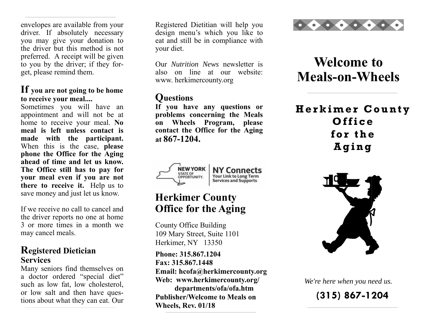envelopes are available from your driver. If absolutely necessary you may give your donation to the driver but this method is not preferred. A receipt will be given to you by the driver; if they forget, please remind them.

#### **If you are not going to be home to receive your meal....**

Sometimes you will have an appointment and will not be at home to receive your meal. **No meal is left unless contact is made with the participant.**  When this is the case, **please phone the Office for the Aging ahead of time and let us know. The Office still has to pay for your meal even if you are not there to receive it.** Help us to save money and just let us know.

If we receive no call to cancel and the driver reports no one at home 3 or more times in a month we may cancel meals.

#### **Registered Dietician Services**

Many seniors find themselves on a doctor ordered "special diet" such as low fat, low cholesterol, or low salt and then have questions about what they can eat. Our

Registered Dietitian will help you design menu's which you like to eat and still be in compliance with your diet.

Our *Nutrition News* newsletter is also on line at our website: www. herkimercounty.org

### **Questions**

**If you have any questions or problems concerning the Meals on Wheels Program, please contact the Office for the Aging at 867-1204.**



### **Herkimer County Office for the Aging**

County Office Building 109 Mary Street, Suite 1101 Herkimer, NY 13350

**Phone: 315.867.1204 Fax: 315.867.1448 Email: hcofa@herkimercounty.org Web: www.herkimercounty.org/ departments/ofa/ofa.htm Publisher/Welcome to Meals on Wheels, Rev. 01/18**



# **Welcome to Meals-on-Wheels**

## **Herkimer County Office for the Aging**



*We're here when you need us.* 

**(315) 867-1204**